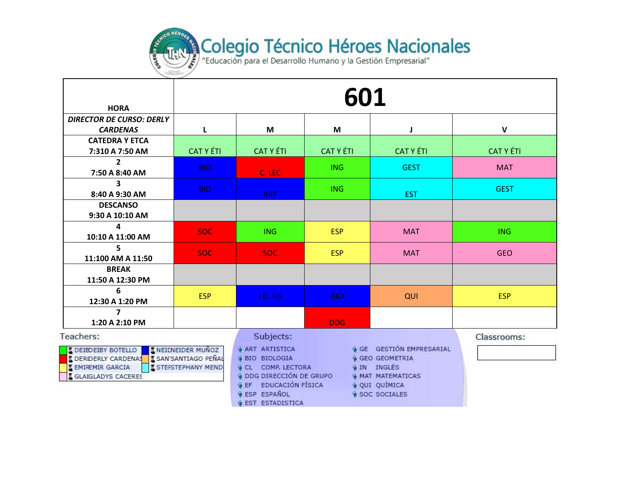

| <b>HORA</b>                                                                                                                                            | 601                                                     |                                                                                                                                |                  |                                                                                          |                  |  |
|--------------------------------------------------------------------------------------------------------------------------------------------------------|---------------------------------------------------------|--------------------------------------------------------------------------------------------------------------------------------|------------------|------------------------------------------------------------------------------------------|------------------|--|
| <b>DIRECTOR DE CURSO: DERLY</b><br><b>CARDENAS</b>                                                                                                     | L                                                       | M                                                                                                                              | M                | J                                                                                        | $\mathbf v$      |  |
| <b>CATEDRA Y ETCA</b><br>7:310 A 7:50 AM                                                                                                               | <b>CAT Y ÉTI</b>                                        | <b>CAT Y ÉTI</b>                                                                                                               | <b>CAT Y ÉTI</b> | <b>CAT Y ÉTI</b>                                                                         | <b>CAT Y ÉTI</b> |  |
| $\mathbf{2}$<br>7:50 A 8:40 AM                                                                                                                         | BIO.                                                    | C. LEC                                                                                                                         | <b>ING</b>       | <b>GEST</b>                                                                              | <b>MAT</b>       |  |
| $\overline{\mathbf{3}}$<br>8:40 A 9:30 AM                                                                                                              | BIO.                                                    | <b>ART</b>                                                                                                                     | <b>ING</b>       | <b>EST</b>                                                                               | <b>GEST</b>      |  |
| <b>DESCANSO</b><br>9:30 A 10:10 AM                                                                                                                     |                                                         |                                                                                                                                |                  |                                                                                          |                  |  |
| 4<br>10:10 A 11:00 AM                                                                                                                                  | <b>SOC</b>                                              | <b>ING</b>                                                                                                                     | <b>ESP</b>       | <b>MAT</b>                                                                               | <b>ING</b>       |  |
| 5<br>11:100 AM A 11:50                                                                                                                                 | <b>SOC</b>                                              | SOC:                                                                                                                           | <b>ESP</b>       | <b>MAT</b>                                                                               | <b>GEO</b>       |  |
| <b>BREAK</b><br>11:50 A 12:30 PM                                                                                                                       |                                                         |                                                                                                                                |                  |                                                                                          |                  |  |
| 6<br>12:30 A 1:20 PM                                                                                                                                   | <b>ESP</b>                                              | ED. FIS                                                                                                                        | <b>BIO</b>       | QUI                                                                                      | <b>ESP</b>       |  |
| $\overline{\phantom{a}}$<br>1:20 A 2:10 PM                                                                                                             |                                                         |                                                                                                                                | <b>DDG</b>       |                                                                                          |                  |  |
| Teachers:<br><b>I DEIBDEIBY BOTELLO</b><br><b>I DERIDERLY CARDENAS I SAN SANTIAGO PEÑAL</b><br><b>K EMIREMIR GARCIA</b><br><b>S</b> GLAIGLADYS CACERES | <b>X NEICNEIDER MUNOZ</b><br><b>K STEFSTEPHANY MEND</b> | Subjects:<br><b>&amp; ART ARTISTICA</b><br><b>A BIO BIOLOGIA</b><br><b>CL COMP. LECTORA</b><br><b>4 DDG DIRECCIÓN DE GRUPO</b> | <b>A</b> IN      | GE GESTIÓN EMPRESARIAL<br><b>GEO GEOMETRIA</b><br>INGLÉS<br><b>&amp; MAT MATEMATICAS</b> | Classrooms:      |  |

**A EF EDUCACIÓN FÍSICA** 

**& ESP ESPAÑOL** 

**& EST ESTADISTICA** 

· QUI QUÍMICA

SOC SOCIALES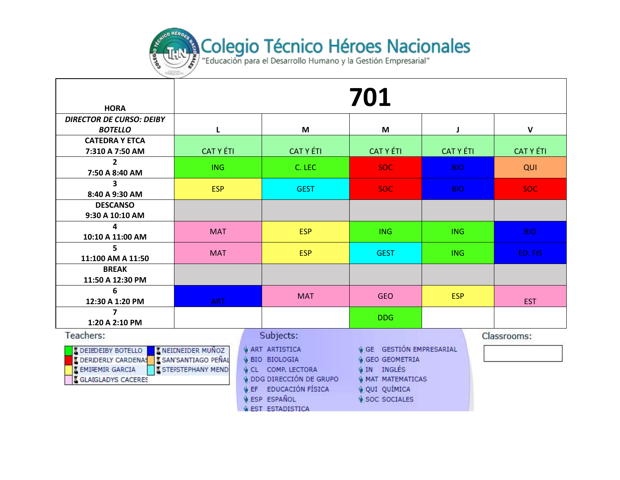

| <b>HORA</b>                                                                                                                             | 701                                              |                                                                                                                                                                       |                                                                                                                                              |                  |                  |  |  |  |
|-----------------------------------------------------------------------------------------------------------------------------------------|--------------------------------------------------|-----------------------------------------------------------------------------------------------------------------------------------------------------------------------|----------------------------------------------------------------------------------------------------------------------------------------------|------------------|------------------|--|--|--|
| <b>DIRECTOR DE CURSO: DEIBY</b>                                                                                                         |                                                  |                                                                                                                                                                       |                                                                                                                                              |                  |                  |  |  |  |
| <b>BOTELLO</b>                                                                                                                          | L                                                | M                                                                                                                                                                     | M                                                                                                                                            | $\mathbf{I}$     | $\mathbf v$      |  |  |  |
| <b>CATEDRA Y ETCA</b>                                                                                                                   |                                                  |                                                                                                                                                                       |                                                                                                                                              |                  |                  |  |  |  |
| 7:310 A 7:50 AM                                                                                                                         | <b>CAT Y ÉTI</b>                                 | <b>CAT Y ÉTI</b>                                                                                                                                                      | <b>CAT Y ÉTI</b>                                                                                                                             | <b>CAT Y ÉTI</b> | <b>CAT Y ÉTI</b> |  |  |  |
| $\mathbf{2}$<br>7:50 A 8:40 AM                                                                                                          | <b>ING</b>                                       | C. LEC                                                                                                                                                                | <b>SOC</b>                                                                                                                                   | <b>BIO</b>       | QUI              |  |  |  |
| 3<br>8:40 A 9:30 AM                                                                                                                     | <b>ESP</b>                                       | <b>GEST</b>                                                                                                                                                           | <b>SOC</b>                                                                                                                                   | <b>BIO</b>       | <b>SOC</b>       |  |  |  |
| <b>DESCANSO</b><br>9:30 A 10:10 AM                                                                                                      |                                                  |                                                                                                                                                                       |                                                                                                                                              |                  |                  |  |  |  |
| 4<br>10:10 A 11:00 AM                                                                                                                   | <b>MAT</b>                                       | <b>ESP</b>                                                                                                                                                            | <b>ING</b>                                                                                                                                   | <b>ING</b>       | <b>BIO</b>       |  |  |  |
| 5.<br>11:100 AM A 11:50                                                                                                                 | <b>MAT</b>                                       | <b>ESP</b>                                                                                                                                                            | <b>GEST</b>                                                                                                                                  | <b>ING</b>       | ED. FIS          |  |  |  |
| <b>BREAK</b><br>11:50 A 12:30 PM                                                                                                        |                                                  |                                                                                                                                                                       |                                                                                                                                              |                  |                  |  |  |  |
| 6<br>12:30 A 1:20 PM                                                                                                                    | <b>ART</b>                                       | <b>MAT</b>                                                                                                                                                            | <b>GEO</b>                                                                                                                                   | <b>ESP</b>       | <b>EST</b>       |  |  |  |
| $\overline{\mathbf{z}}$<br>1:20 A 2:10 PM                                                                                               |                                                  |                                                                                                                                                                       | <b>DDG</b>                                                                                                                                   |                  |                  |  |  |  |
| Teachers:                                                                                                                               |                                                  | Subjects:                                                                                                                                                             |                                                                                                                                              |                  | Classrooms:      |  |  |  |
| <b>L</b> DEIBDEIBY BOTELLO<br><b>L</b> DERIDERLY CARDENAS L SAN SANTIAGO PEÑAL<br><b>I EMIREMIR GARCIA</b><br><b>GLAIGLADYS CACERES</b> | <b>IN EICNEIDER MUNOZ</b><br>I STEFSTEPHANY MEND | <b>ART ARTISTICA</b><br><b>&amp; BIO BIOLOGIA</b><br><b>GCL COMP. LECTORA</b><br><b>4 DDG DIRECCIÓN DE GRUPO</b><br>& EF EDUCACIÓN FÍSICA<br><b>&amp; ESP ESPAÑOL</b> | <b>GE GESTION EMPRESARIAL</b><br><b>GEO GEOMETRIA</b><br>4 IN INGLÉS<br><b>&amp; MAT MATEMATICAS</b><br>OUI QUÍMICA<br><b>4 SOC SOCIALES</b> |                  |                  |  |  |  |

**A EST ESTADISTICA**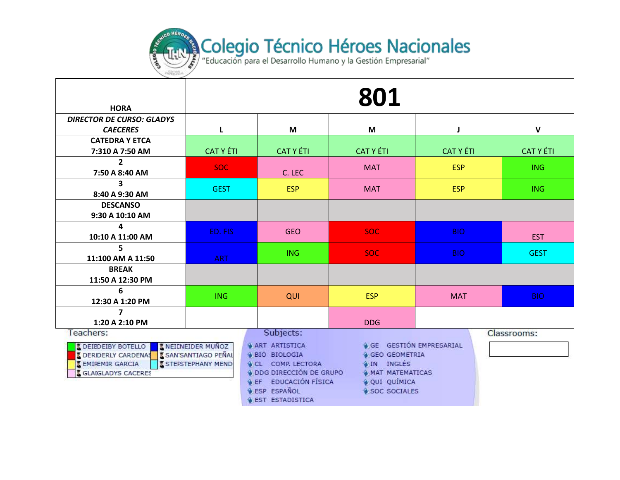

| <b>HORA</b>                                                                                                                    | 801                                                     |                                                                                                                                                      |                                                                                                                                           |                  |                  |  |  |
|--------------------------------------------------------------------------------------------------------------------------------|---------------------------------------------------------|------------------------------------------------------------------------------------------------------------------------------------------------------|-------------------------------------------------------------------------------------------------------------------------------------------|------------------|------------------|--|--|
| <b>DIRECTOR DE CURSO: GLADYS</b>                                                                                               |                                                         |                                                                                                                                                      |                                                                                                                                           |                  |                  |  |  |
| <b>CAECERES</b>                                                                                                                |                                                         | M                                                                                                                                                    | M                                                                                                                                         | J                | $\mathbf v$      |  |  |
| <b>CATEDRA Y ETCA</b>                                                                                                          |                                                         |                                                                                                                                                      |                                                                                                                                           |                  |                  |  |  |
| 7:310 A 7:50 AM                                                                                                                | <b>CAT Y ÉTI</b>                                        | <b>CAT Y ÉTI</b>                                                                                                                                     | <b>CAT Y ÉTI</b>                                                                                                                          | <b>CAT Y ÉTI</b> | <b>CAT Y ÉTI</b> |  |  |
| $\overline{2}$<br>7:50 A 8:40 AM                                                                                               | <b>SOC</b>                                              | C. LEC                                                                                                                                               | <b>MAT</b>                                                                                                                                | <b>ESP</b>       | <b>ING</b>       |  |  |
| 3                                                                                                                              | <b>GEST</b>                                             | <b>ESP</b>                                                                                                                                           | <b>MAT</b>                                                                                                                                | <b>ESP</b>       | ING              |  |  |
| 8:40 A 9:30 AM                                                                                                                 |                                                         |                                                                                                                                                      |                                                                                                                                           |                  |                  |  |  |
| <b>DESCANSO</b><br>9:30 A 10:10 AM                                                                                             |                                                         |                                                                                                                                                      |                                                                                                                                           |                  |                  |  |  |
| 4                                                                                                                              |                                                         |                                                                                                                                                      |                                                                                                                                           |                  |                  |  |  |
| 10:10 A 11:00 AM                                                                                                               | ED. FIS                                                 | <b>GEO</b>                                                                                                                                           | SOC:                                                                                                                                      | <b>BIO</b>       | <b>EST</b>       |  |  |
| 5                                                                                                                              |                                                         | <b>ING</b>                                                                                                                                           | SOC:                                                                                                                                      | <b>BIO</b>       | <b>GEST</b>      |  |  |
| 11:100 AM A 11:50                                                                                                              | <b>ART</b>                                              |                                                                                                                                                      |                                                                                                                                           |                  |                  |  |  |
| <b>BREAK</b>                                                                                                                   |                                                         |                                                                                                                                                      |                                                                                                                                           |                  |                  |  |  |
| 11:50 A 12:30 PM                                                                                                               |                                                         |                                                                                                                                                      |                                                                                                                                           |                  |                  |  |  |
| 6                                                                                                                              | <b>ING</b>                                              | QUI                                                                                                                                                  | <b>ESP</b>                                                                                                                                | <b>MAT</b>       | <b>BIO</b>       |  |  |
| 12:30 A 1:20 PM                                                                                                                |                                                         |                                                                                                                                                      |                                                                                                                                           |                  |                  |  |  |
| $\overline{7}$                                                                                                                 |                                                         |                                                                                                                                                      |                                                                                                                                           |                  |                  |  |  |
| 1:20 A 2:10 PM                                                                                                                 |                                                         |                                                                                                                                                      | <b>DDG</b>                                                                                                                                |                  |                  |  |  |
| Teachers:                                                                                                                      |                                                         | Subjects:                                                                                                                                            |                                                                                                                                           |                  | Classrooms:      |  |  |
| <b>L</b> DEIBDEIBY BOTELLO<br>DERIDERLY CARDENAS E SAN SANTIAGO PEÑAL<br><b>SEMIREMIR GARCIA</b><br><b>SCLAIGLADYS CACERES</b> | <b>X NEILNEIDER MUNOZ</b><br><b>X STEFSTEPHANY MEND</b> | <b>&amp; ART ARTISTICA</b><br><b>&amp; BIO BIOLOGIA</b><br>CL COMP. LECTORA<br>DDG DIRECCIÓN DE GRUPO<br>& EF EDUCACIÓN FÍSICA<br><b>ESP ESPAÑOL</b> | <b>&amp; GE GESTIÓN EMPRESARIAL</b><br><b>GEO GEOMETRIA</b><br>4 IN INGLÉS<br><b>&amp; MAT MATEMATICAS</b><br>OUI QUÍMICA<br>SOC SOCIALES |                  |                  |  |  |

**O EST ESTADISTICA**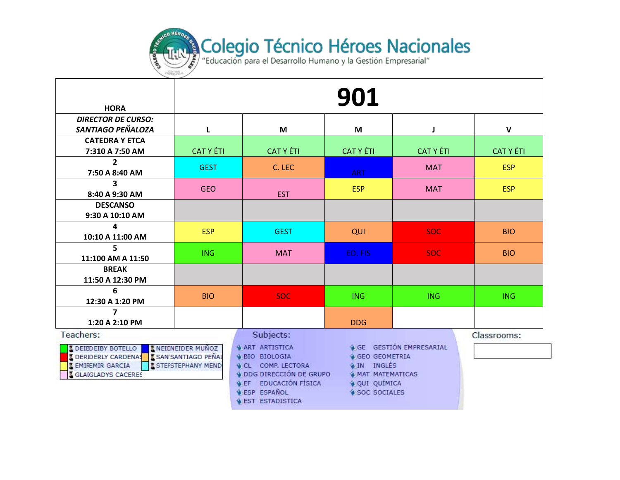

| <b>HORA</b>                              | 901              |                  |                  |                  |                  |  |  |
|------------------------------------------|------------------|------------------|------------------|------------------|------------------|--|--|
| <b>DIRECTOR DE CURSO:</b>                |                  |                  |                  |                  |                  |  |  |
| SANTIAGO PEÑALOZA                        | L                | M                | M                |                  | $\mathsf{V}$     |  |  |
| <b>CATEDRA Y ETCA</b><br>7:310 A 7:50 AM | <b>CAT Y ÉTI</b> | <b>CAT Y ÉTI</b> | <b>CAT Y ÉTI</b> | <b>CAT Y ÉTI</b> | <b>CAT Y ÉTI</b> |  |  |
| $\overline{2}$<br>7:50 A 8:40 AM         | <b>GEST</b>      | C. LEC           | <b>ART</b>       | <b>MAT</b>       | <b>ESP</b>       |  |  |
| 3<br>8:40 A 9:30 AM                      | <b>GEO</b>       | <b>EST</b>       | <b>ESP</b>       | <b>MAT</b>       | <b>ESP</b>       |  |  |
| <b>DESCANSO</b><br>9:30 A 10:10 AM       |                  |                  |                  |                  |                  |  |  |
| 4<br>10:10 A 11:00 AM                    | <b>ESP</b>       | <b>GEST</b>      | QUI              | <b>SOC</b>       | <b>BIO</b>       |  |  |
| 5<br>11:100 AM A 11:50                   | ING.             | <b>MAT</b>       | ED. FIS          | SOC:             | <b>BIO</b>       |  |  |
| <b>BREAK</b><br>11:50 A 12:30 PM         |                  |                  |                  |                  |                  |  |  |
| 6<br>12:30 A 1:20 PM                     | <b>BIO</b>       | SOC:             | <b>ING</b>       | <b>ING</b>       | <b>ING</b>       |  |  |
| 1:20 A 2:10 PM                           |                  |                  | <b>DDG</b>       |                  |                  |  |  |
| Teachers:                                |                  | Subjects:        |                  |                  | Classrooms:      |  |  |

| <b>I DEIBDEIBY BOTELLO</b>  | <b>ENEICNEIDER MUÑOZ</b>     |
|-----------------------------|------------------------------|
| <b>I DERIDERLY CARDENAS</b> | <b>IS SAN'SANTIAGO PEÑAL</b> |
| <b>E EMIREMIR GARCIA</b>    | <b>STEFSTEPHANY MEND</b>     |
| <b>E GLAIGLADYS CACERES</b> |                              |

- 
- **ART ARTISTICA & BIO BIOLOGIA**
- **CL COMP. LECTORA**
- **4 DDG DIRECCIÓN DE GRUPO**
- **O EF EDUCACIÓN FÍSICA**
- **LESP ESPAÑOL**
- **GEST ESTADISTICA**

- 
- 

**4 GE GESTION EMPRESARIAL** 

**& GEO GEOMETRIA** 

**WAT MATEMATICAS** 

**OIN INGLES** 

OUI QUÍMICA

SOC SOCIALES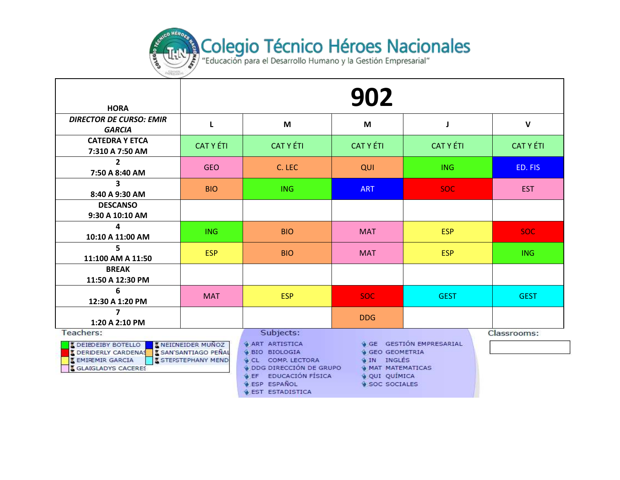

| <b>HORA</b>                                                                                                                                   | 902                                                    |                                                                                                                                                                                  |                                                                                                          |                                     |                  |  |  |
|-----------------------------------------------------------------------------------------------------------------------------------------------|--------------------------------------------------------|----------------------------------------------------------------------------------------------------------------------------------------------------------------------------------|----------------------------------------------------------------------------------------------------------|-------------------------------------|------------------|--|--|
| <b>DIRECTOR DE CURSO: EMIR</b><br><b>GARCIA</b>                                                                                               | L                                                      | M                                                                                                                                                                                | M                                                                                                        | J                                   | $\mathbf{V}$     |  |  |
| <b>CATEDRA Y ETCA</b><br>7:310 A 7:50 AM                                                                                                      | <b>CAT Y ÉTI</b>                                       | <b>CAT Y ÉTI</b>                                                                                                                                                                 | <b>CAT Y ÉTI</b>                                                                                         | <b>CAT Y ÉTI</b>                    | <b>CAT Y ÉTI</b> |  |  |
| $\mathbf{2}$<br>7:50 A 8:40 AM                                                                                                                | <b>GEO</b>                                             | C. LEC                                                                                                                                                                           | QUI                                                                                                      | <b>ING</b>                          | ED. FIS          |  |  |
| 3<br>8:40 A 9:30 AM                                                                                                                           | <b>BIO</b>                                             | <b>ING</b>                                                                                                                                                                       | <b>ART</b>                                                                                               | <b>SOC</b>                          | <b>EST</b>       |  |  |
| <b>DESCANSO</b><br>9:30 A 10:10 AM                                                                                                            |                                                        |                                                                                                                                                                                  |                                                                                                          |                                     |                  |  |  |
| 4<br>10:10 A 11:00 AM                                                                                                                         | <b>ING</b>                                             | <b>BIO</b>                                                                                                                                                                       | <b>MAT</b>                                                                                               | <b>ESP</b>                          | SOC:             |  |  |
| 5<br>11:100 AM A 11:50                                                                                                                        | <b>ESP</b>                                             | <b>BIO</b>                                                                                                                                                                       | <b>MAT</b>                                                                                               | <b>ESP</b>                          | <b>ING</b>       |  |  |
| <b>BREAK</b><br>11:50 A 12:30 PM                                                                                                              |                                                        |                                                                                                                                                                                  |                                                                                                          |                                     |                  |  |  |
| 6<br>12:30 A 1:20 PM                                                                                                                          | <b>MAT</b>                                             | <b>ESP</b>                                                                                                                                                                       | <b>SOC</b>                                                                                               | <b>GEST</b>                         | <b>GEST</b>      |  |  |
| 7<br>1:20 A 2:10 PM                                                                                                                           |                                                        |                                                                                                                                                                                  | <b>DDG</b>                                                                                               |                                     |                  |  |  |
| Teachers:                                                                                                                                     |                                                        | Subjects:                                                                                                                                                                        |                                                                                                          |                                     | Classrooms:      |  |  |
| <b>L</b> DEIBDEIBY BOTELLO<br><b>I DERIDERLY CARDENAS I SAN SANTIAGO PEÑAL</b><br><b>E EMIREMIR GARCIA</b><br><b>&amp; GLAIGLADYS CACERES</b> | <b>KNEICNEIDER MUNOZ</b><br><b>I STEFSTEPHANY MEND</b> | <b>&amp; ART ARTISTICA</b><br>4 BIO BIOLOGIA<br>CL COMP. LECTORA<br>O DDG DIRECCIÓN DE GRUPO<br><b>&amp; EF EDUCACIÓN FÍSICA</b><br><b>ESP ESPAÑOL</b><br><b>EST ESTADISTICA</b> | <b>&amp; GEO GEOMETRIA</b><br><b>WIN INGLES</b><br><b>WAT MATEMATICAS</b><br>OUI QUÍMICA<br>SOC SOCIALES | <b>&amp; GE GESTIÓN EMPRESARIAL</b> |                  |  |  |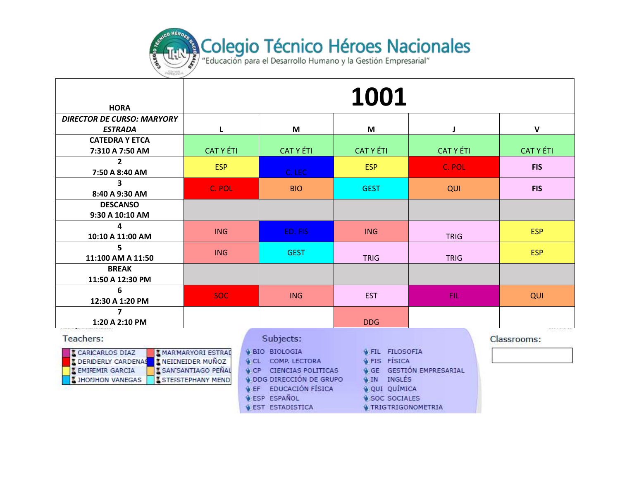

| <b>HORA</b>                                                                                                                      | 1001                                                                                 |                                                                                                                                                                                              |                                                                                                                                        |                               |                  |  |  |
|----------------------------------------------------------------------------------------------------------------------------------|--------------------------------------------------------------------------------------|----------------------------------------------------------------------------------------------------------------------------------------------------------------------------------------------|----------------------------------------------------------------------------------------------------------------------------------------|-------------------------------|------------------|--|--|
| <b>DIRECTOR DE CURSO: MARYORY</b><br><b>ESTRADA</b>                                                                              | L                                                                                    | M                                                                                                                                                                                            | M                                                                                                                                      | J                             | $\mathsf{V}$     |  |  |
| <b>CATEDRA Y ETCA</b><br>7:310 A 7:50 AM                                                                                         | <b>CAT Y ÉTI</b>                                                                     | <b>CAT Y ÉTI</b>                                                                                                                                                                             | <b>CAT Y ÉTI</b>                                                                                                                       | <b>CAT Y ÉTI</b>              | <b>CAT Y ÉTI</b> |  |  |
| 2<br>7:50 A 8:40 AM                                                                                                              | <b>ESP</b>                                                                           | C. LEC                                                                                                                                                                                       | <b>ESP</b>                                                                                                                             | C. POL                        | <b>FIS</b>       |  |  |
| 3<br>8:40 A 9:30 AM                                                                                                              | C. POL                                                                               | <b>BIO</b>                                                                                                                                                                                   | <b>GEST</b>                                                                                                                            | QUI                           | <b>FIS</b>       |  |  |
| <b>DESCANSO</b><br>9:30 A 10:10 AM                                                                                               |                                                                                      |                                                                                                                                                                                              |                                                                                                                                        |                               |                  |  |  |
| 4<br>10:10 A 11:00 AM                                                                                                            | <b>ING</b>                                                                           | ED. FIS                                                                                                                                                                                      | <b>ING</b>                                                                                                                             | <b>TRIG</b>                   | <b>ESP</b>       |  |  |
| 5<br>11:100 AM A 11:50                                                                                                           | <b>ING</b>                                                                           | <b>GEST</b>                                                                                                                                                                                  | <b>TRIG</b>                                                                                                                            | <b>TRIG</b>                   | <b>ESP</b>       |  |  |
| <b>BREAK</b><br>11:50 A 12:30 PM                                                                                                 |                                                                                      |                                                                                                                                                                                              |                                                                                                                                        |                               |                  |  |  |
| 6<br>12:30 A 1:20 PM                                                                                                             | <b>SOC</b>                                                                           | <b>ING</b>                                                                                                                                                                                   | <b>EST</b>                                                                                                                             | FIL:                          | QUI              |  |  |
| 7<br>1:20 A 2:10 PM                                                                                                              |                                                                                      |                                                                                                                                                                                              | <b>DDG</b>                                                                                                                             |                               |                  |  |  |
| Teachers:                                                                                                                        |                                                                                      | Subjects:                                                                                                                                                                                    |                                                                                                                                        |                               | Classrooms:      |  |  |
| <b>CARICARLOS DIAZ</b><br><b>L</b> DERIDERLY CARDENAS   L NEICNEIDER MUÑOZ<br><b>EMIREMIR GARCIA</b><br><b>I JHONHON VANEGAS</b> | <b>MARMARYORI ESTRAL</b><br><b>X SAN'SANTIAGO PEÑAL</b><br><b>ISTEFSTEPHANY MEND</b> | <b>BIO BIOLOGIA</b><br>CL COMP. LECTORA<br><b>&amp; CP CIENCIAS POLITICAS</b><br>ODG DIRECCIÓN DE GRUPO<br><b>&amp; EF EDUCACIÓN FÍSICA</b><br><b>ESP ESPAÑOL</b><br><b>SEST ESTADISTICA</b> | <b>OFIL FILOSOFIA</b><br><b>&amp; FIS FISICA</b><br><b>WIN INGLÉS</b><br>OUI QUÍMICA<br>SOC SOCIALES<br><b>&amp; TRIGTRIGONOMETRIA</b> | <b>GE GESTIÓN EMPRESARIAL</b> |                  |  |  |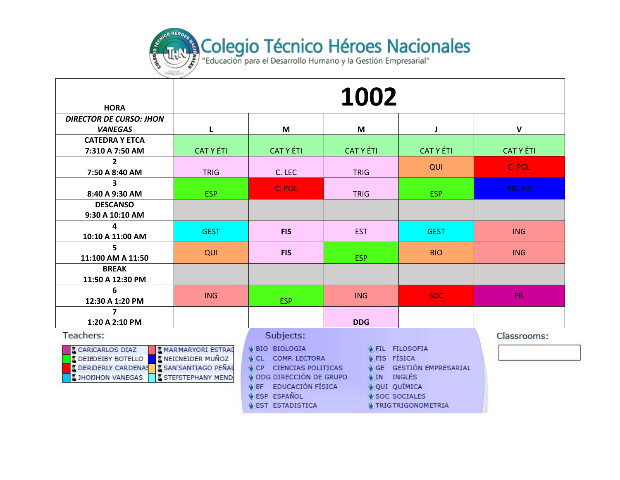

| <b>HORA</b>                                                                                                       |                                                                                                  |                                                                                              | 1002                                                                                                                                                                           |                                |                  |
|-------------------------------------------------------------------------------------------------------------------|--------------------------------------------------------------------------------------------------|----------------------------------------------------------------------------------------------|--------------------------------------------------------------------------------------------------------------------------------------------------------------------------------|--------------------------------|------------------|
| <b>DIRECTOR DE CURSO: JHON</b>                                                                                    |                                                                                                  |                                                                                              |                                                                                                                                                                                |                                |                  |
| <b>VANEGAS</b>                                                                                                    | L                                                                                                | M                                                                                            | M                                                                                                                                                                              |                                | $\mathsf{V}$     |
| <b>CATEDRA Y ETCA</b>                                                                                             |                                                                                                  |                                                                                              |                                                                                                                                                                                |                                |                  |
| 7:310 A 7:50 AM                                                                                                   | <b>CAT Y ÉTI</b>                                                                                 | <b>CAT Y ÉTI</b>                                                                             | <b>CAT Y ÉTI</b>                                                                                                                                                               | <b>CAT Y ÉTI</b>               | <b>CAT Y ÉTI</b> |
| $2^{\circ}$                                                                                                       |                                                                                                  |                                                                                              |                                                                                                                                                                                | QUI                            | C. POL           |
| 7:50 A 8:40 AM                                                                                                    | <b>TRIG</b>                                                                                      | C. LEC                                                                                       | <b>TRIG</b>                                                                                                                                                                    |                                |                  |
| $\overline{\mathbf{3}}$                                                                                           |                                                                                                  | C. POL                                                                                       |                                                                                                                                                                                |                                | ED. FIS          |
| 8:40 A 9:30 AM                                                                                                    | <b>ESP</b>                                                                                       |                                                                                              | <b>TRIG</b>                                                                                                                                                                    | <b>ESP</b>                     |                  |
| <b>DESCANSO</b>                                                                                                   |                                                                                                  |                                                                                              |                                                                                                                                                                                |                                |                  |
| 9:30 A 10:10 AM                                                                                                   |                                                                                                  |                                                                                              |                                                                                                                                                                                |                                |                  |
| 4                                                                                                                 | <b>GEST</b>                                                                                      | <b>FIS</b>                                                                                   | <b>EST</b>                                                                                                                                                                     | <b>GEST</b>                    | <b>ING</b>       |
| 10:10 A 11:00 AM                                                                                                  |                                                                                                  |                                                                                              |                                                                                                                                                                                |                                |                  |
| 5                                                                                                                 | QUI                                                                                              | <b>FIS</b>                                                                                   |                                                                                                                                                                                | <b>BIO</b>                     | <b>ING</b>       |
| 11:100 AM A 11:50                                                                                                 |                                                                                                  |                                                                                              | <b>ESP</b>                                                                                                                                                                     |                                |                  |
| <b>BREAK</b>                                                                                                      |                                                                                                  |                                                                                              |                                                                                                                                                                                |                                |                  |
| 11:50 A 12:30 PM                                                                                                  |                                                                                                  |                                                                                              |                                                                                                                                                                                |                                |                  |
| 6                                                                                                                 | <b>ING</b>                                                                                       |                                                                                              | <b>ING</b>                                                                                                                                                                     | <b>SOC</b>                     | FIL:             |
| 12:30 A 1:20 PM                                                                                                   |                                                                                                  | <b>ESP</b>                                                                                   |                                                                                                                                                                                |                                |                  |
| $\overline{\mathbf{z}}$                                                                                           |                                                                                                  |                                                                                              |                                                                                                                                                                                |                                |                  |
| 1:20 A 2:10 PM                                                                                                    |                                                                                                  |                                                                                              | <b>DDG</b>                                                                                                                                                                     |                                |                  |
| Teachers:                                                                                                         |                                                                                                  | Subjects:                                                                                    |                                                                                                                                                                                |                                | Classrooms:      |
| <b>I CARICARLOS DIAZ</b><br><b>L</b> DEIBDEIBY BOTELLO<br><b>L</b> DERIDERLY CARDENAS<br><b>I JHONHON VANEGAS</b> | <b>MARMARYORI ESTRAD</b><br><b>IN EICNEIDER MUNOZ</b><br>SAN'SANTIAGO PEÑAL<br>STEFSTEPHANY MEND |                                                                                              | <b>S FIL FILOSOFIA</b><br><b>GFIS FISICA</b><br><b>&amp; CL COMP, LECTORA</b><br>CP CIENCIAS POLITICAS<br><b>4 DDG DIRECCIÓN DE GRUPO</b><br><b>A IN INGLÉS</b><br>OUI QUÍMICA | <b>GE GESTIÓN EMPRESARIAL</b>  |                  |
|                                                                                                                   |                                                                                                  | <b>&amp; EF EDUCACIÓN FÍSICA</b><br><b>&amp; ESP ESPAÑOL</b><br><b>&amp; EST ESTADISTICA</b> | SOC SOCIALES                                                                                                                                                                   | <b>&amp; TRIGTRIGONOMETRIA</b> |                  |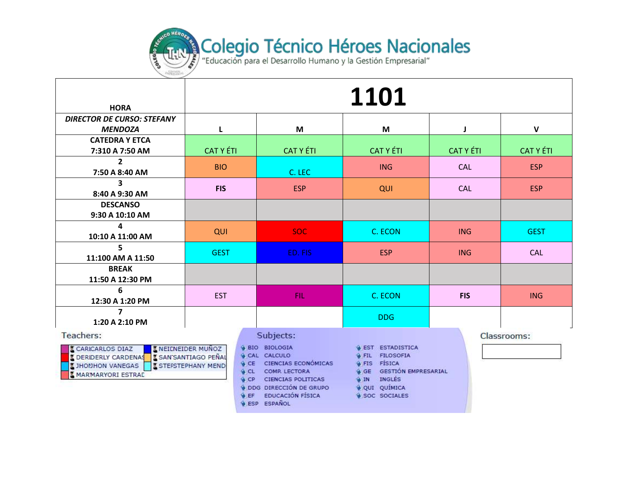

| <b>HORA</b>                                                                                                                         | 1101                                                                          |                                                                                                                                                                                                     |                                                                                                                                                                      |                  |                  |  |  |
|-------------------------------------------------------------------------------------------------------------------------------------|-------------------------------------------------------------------------------|-----------------------------------------------------------------------------------------------------------------------------------------------------------------------------------------------------|----------------------------------------------------------------------------------------------------------------------------------------------------------------------|------------------|------------------|--|--|
| <b>DIRECTOR DE CURSO: STEFANY</b>                                                                                                   |                                                                               |                                                                                                                                                                                                     |                                                                                                                                                                      |                  |                  |  |  |
| <b>MENDOZA</b>                                                                                                                      | L                                                                             | M                                                                                                                                                                                                   | M                                                                                                                                                                    | J                | $\mathbf{V}$     |  |  |
| <b>CATEDRA Y ETCA</b>                                                                                                               |                                                                               |                                                                                                                                                                                                     |                                                                                                                                                                      |                  |                  |  |  |
| 7:310 A 7:50 AM                                                                                                                     | <b>CAT Y ÉTI</b>                                                              | <b>CAT Y ÉTI</b>                                                                                                                                                                                    | <b>CAT Y ÉTI</b>                                                                                                                                                     | <b>CAT Y ÉTI</b> | <b>CAT Y ÉTI</b> |  |  |
| $\overline{2}$<br>7:50 A 8:40 AM                                                                                                    | <b>BIO</b>                                                                    | C. LEC                                                                                                                                                                                              | <b>ING</b>                                                                                                                                                           | <b>CAL</b>       | <b>ESP</b>       |  |  |
| $\overline{\mathbf{3}}$                                                                                                             |                                                                               |                                                                                                                                                                                                     |                                                                                                                                                                      |                  |                  |  |  |
| 8:40 A 9:30 AM                                                                                                                      | <b>FIS</b>                                                                    | <b>ESP</b>                                                                                                                                                                                          | QUI                                                                                                                                                                  | <b>CAL</b>       | <b>ESP</b>       |  |  |
| <b>DESCANSO</b>                                                                                                                     |                                                                               |                                                                                                                                                                                                     |                                                                                                                                                                      |                  |                  |  |  |
| 9:30 A 10:10 AM                                                                                                                     |                                                                               |                                                                                                                                                                                                     |                                                                                                                                                                      |                  |                  |  |  |
| 4                                                                                                                                   | QUI                                                                           | <b>SOC</b>                                                                                                                                                                                          | C. ECON                                                                                                                                                              | <b>ING</b>       | <b>GEST</b>      |  |  |
| 10:10 A 11:00 AM                                                                                                                    |                                                                               |                                                                                                                                                                                                     |                                                                                                                                                                      |                  |                  |  |  |
| 5<br>11:100 AM A 11:50                                                                                                              | <b>GEST</b>                                                                   | ED. FIS                                                                                                                                                                                             | <b>ESP</b>                                                                                                                                                           | <b>ING</b>       | <b>CAL</b>       |  |  |
| <b>BREAK</b>                                                                                                                        |                                                                               |                                                                                                                                                                                                     |                                                                                                                                                                      |                  |                  |  |  |
| 11:50 A 12:30 PM                                                                                                                    |                                                                               |                                                                                                                                                                                                     |                                                                                                                                                                      |                  |                  |  |  |
| 6                                                                                                                                   |                                                                               |                                                                                                                                                                                                     |                                                                                                                                                                      |                  |                  |  |  |
| 12:30 A 1:20 PM                                                                                                                     | <b>EST</b>                                                                    | <b>FIL</b>                                                                                                                                                                                          | C. ECON                                                                                                                                                              | <b>FIS</b>       | <b>ING</b>       |  |  |
| 7                                                                                                                                   |                                                                               |                                                                                                                                                                                                     | <b>DDG</b>                                                                                                                                                           |                  |                  |  |  |
| 1:20 A 2:10 PM                                                                                                                      |                                                                               |                                                                                                                                                                                                     |                                                                                                                                                                      |                  |                  |  |  |
| Teachers:                                                                                                                           |                                                                               | Subjects:                                                                                                                                                                                           |                                                                                                                                                                      |                  | Classrooms:      |  |  |
| <b>CARICARLOS DIAZ</b><br><b>L</b> DERIDERLY CARDENAS L SAN SANTIAGO PEÑAL<br><b>LIHOMHON VANEGAS</b><br><b>K MARMARYORI ESTRAL</b> | <b>I NEILNEIDER MUÑOZ</b><br><b>I STEFSTEPHANY MEND</b><br>& CP<br><b>SEF</b> | <b>&amp; BIO BIOLOGIA</b><br>CAL CALCULO<br><b>4 CE CIENCIAS ECONOMICAS</b><br>CL COMP. LECTORA<br>CIENCIAS POLITICAS<br>O DDG DIRECCIÓN DE GRUPO<br><b>EDUCACIÓN FÍSICA</b><br><b>GESP ESPAÑOL</b> | <b>&amp; EST ESTADISTICA</b><br><b>G FIL FILOSOFIA</b><br>FIS FISICA<br><b>GE GESTIÓN EMPRESARIAL</b><br>INGLES<br><b>ON</b><br>OUI QUÍMICA<br><b>9 SOC SOCIALES</b> |                  |                  |  |  |